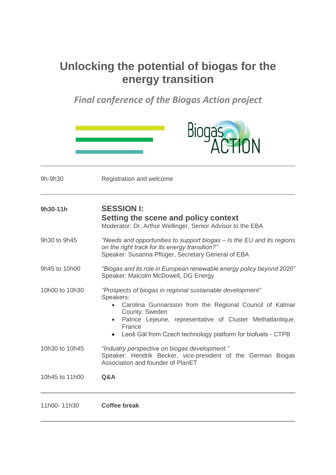## **Unlocking the potential of biogas for the energy transition**

*Final conference of the Biogas Action project*

|                | ACTION                                                                                                                                                                                                                                                                                                  |
|----------------|---------------------------------------------------------------------------------------------------------------------------------------------------------------------------------------------------------------------------------------------------------------------------------------------------------|
| 9h-9h30        | Registration and welcome                                                                                                                                                                                                                                                                                |
| 9h30-11h       | <b>SESSION I:</b><br>Setting the scene and policy context<br>Moderator: Dr. Arthur Wellinger, Senior Advisor to the EBA                                                                                                                                                                                 |
| 9h30 to 9h45   | "Needs and opportunities to support biogas – Is the EU and its regions<br>on the right track for its energy transition?"<br>Speaker: Susanna Pflüger, Secretary General of EBA                                                                                                                          |
| 9h45 to 10h00  | "Biogas and its role in European renewable energy policy beyond 2020"<br>Speaker: Malcolm McDowell, DG Energy                                                                                                                                                                                           |
| 10h00 to 10h30 | "Prospects of biogas in regional sustainable development"<br>Speakers:<br>Carolina Gunnarsson from the Regional Council of Kalmar<br>County, Sweden<br>Patrice Lejeune, representative of Cluster Methatlantique,<br>$\bullet$<br>France<br>Leoš Gál from Czech technology platform for biofuels - CTPB |
| 10h30 to 10h45 | "Industry perspective on biogas development."<br>Speaker: Hendrik Becker, vice-president of the German Biogas<br>Association and founder of PlanET                                                                                                                                                      |
| 10h45 to 11h00 | Q&A                                                                                                                                                                                                                                                                                                     |
| 11h00-11h30    | <b>Coffee break</b>                                                                                                                                                                                                                                                                                     |